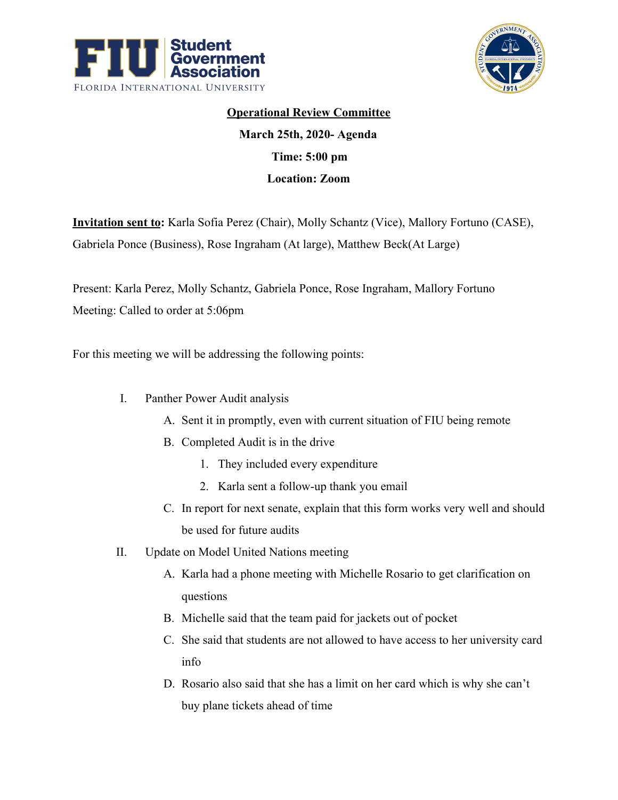



## **Operational Review Committee March 25th, 2020- Agenda Time: 5:00 pm Location: Zoom**

**Invitation sent to:** Karla Sofia Perez (Chair), Molly Schantz (Vice), Mallory Fortuno (CASE), Gabriela Ponce (Business), Rose Ingraham (At large), Matthew Beck(At Large)

Present: Karla Perez, Molly Schantz, Gabriela Ponce, Rose Ingraham, Mallory Fortuno Meeting: Called to order at 5:06pm

For this meeting we will be addressing the following points:

- I. Panther Power Audit analysis
	- A. Sent it in promptly, even with current situation of FIU being remote
	- B. Completed Audit is in the drive
		- 1. They included every expenditure
		- 2. Karla sent a follow-up thank you email
	- C. In report for next senate, explain that this form works very well and should be used for future audits
- II. Update on Model United Nations meeting
	- A. Karla had a phone meeting with Michelle Rosario to get clarification on questions
	- B. Michelle said that the team paid for jackets out of pocket
	- C. She said that students are not allowed to have access to her university card info
	- D. Rosario also said that she has a limit on her card which is why she can't buy plane tickets ahead of time